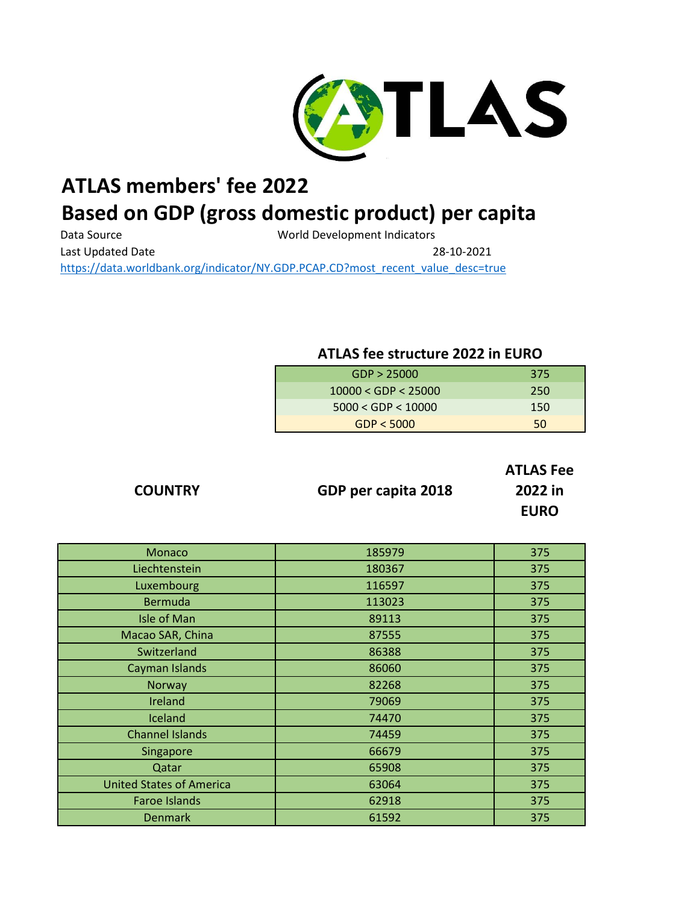

## **ATLAS members' fee 2022**

## **Based on GDP (gross domestic product) per capita**

Data Source **Matabook** World Development Indicators Last Updated Date 28-10-2021 [https://data.worldbank.org/indicator/NY.GDP.PCAP.CD?most\\_recent\\_value\\_desc=true](https://data.worldbank.org/indicator/NY.GDP.PCAP.CD?most_recent_value_desc=true)

## **ATLAS fee structure 2022 in EURO**

| GDP > 25000             | 375 |
|-------------------------|-----|
| $10000 <$ GDP $<$ 25000 | 250 |
| 5000 < GDP < 10000      | 150 |
| GDP < 5000              | 50  |

**COUNTRY GDP per capita 2018**

**ATLAS Fee 2022 in EURO**

| <b>Monaco</b>                   | 185979 | 375 |
|---------------------------------|--------|-----|
| Liechtenstein                   | 180367 | 375 |
| Luxembourg                      | 116597 | 375 |
| <b>Bermuda</b>                  | 113023 | 375 |
| <b>Isle of Man</b>              | 89113  | 375 |
| Macao SAR, China                | 87555  | 375 |
| Switzerland                     | 86388  | 375 |
| Cayman Islands                  | 86060  | 375 |
| Norway                          | 82268  | 375 |
| Ireland                         | 79069  | 375 |
| Iceland                         | 74470  | 375 |
| <b>Channel Islands</b>          | 74459  | 375 |
| Singapore                       | 66679  | 375 |
| Qatar                           | 65908  | 375 |
| <b>United States of America</b> | 63064  | 375 |
| <b>Faroe Islands</b>            | 62918  | 375 |
| <b>Denmark</b>                  | 61592  | 375 |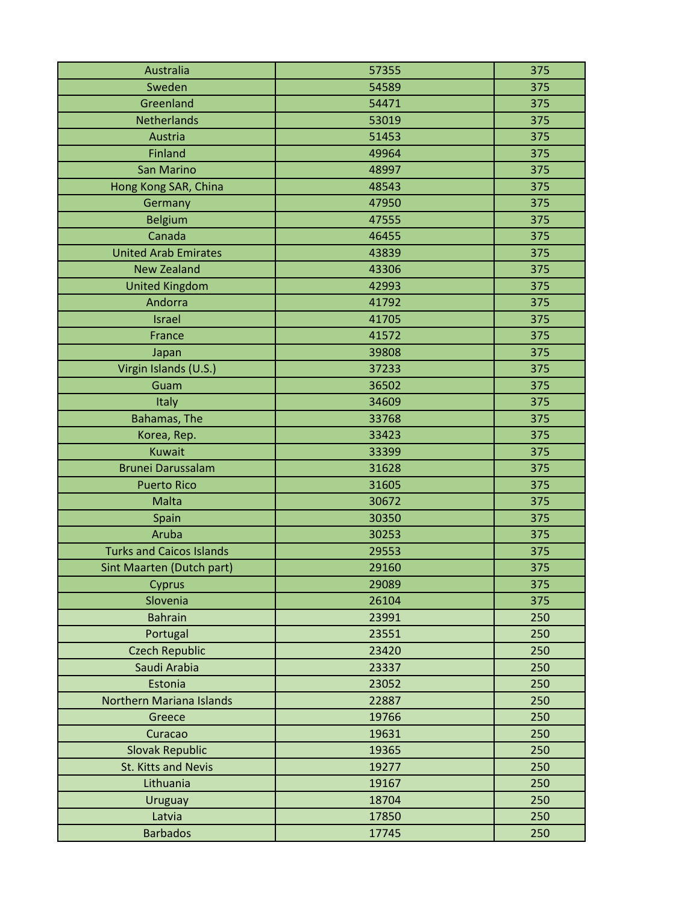| Australia                       | 57355 | 375 |
|---------------------------------|-------|-----|
| Sweden                          | 54589 | 375 |
| Greenland                       | 54471 | 375 |
| Netherlands                     | 53019 | 375 |
| Austria                         | 51453 | 375 |
| Finland                         | 49964 | 375 |
| <b>San Marino</b>               | 48997 | 375 |
| Hong Kong SAR, China            | 48543 | 375 |
| Germany                         | 47950 | 375 |
| <b>Belgium</b>                  | 47555 | 375 |
| Canada                          | 46455 | 375 |
| <b>United Arab Emirates</b>     | 43839 | 375 |
| <b>New Zealand</b>              | 43306 | 375 |
| <b>United Kingdom</b>           | 42993 | 375 |
| Andorra                         | 41792 | 375 |
| <b>Israel</b>                   | 41705 | 375 |
| France                          | 41572 | 375 |
| Japan                           | 39808 | 375 |
| Virgin Islands (U.S.)           | 37233 | 375 |
| Guam                            | 36502 | 375 |
| Italy                           | 34609 | 375 |
| Bahamas, The                    | 33768 | 375 |
| Korea, Rep.                     | 33423 | 375 |
| <b>Kuwait</b>                   | 33399 | 375 |
| <b>Brunei Darussalam</b>        | 31628 | 375 |
| <b>Puerto Rico</b>              | 31605 | 375 |
| Malta                           | 30672 | 375 |
| Spain                           | 30350 | 375 |
| Aruba                           | 30253 | 375 |
| <b>Turks and Caicos Islands</b> | 29553 | 375 |
| Sint Maarten (Dutch part)       | 29160 | 375 |
| Cyprus                          | 29089 | 375 |
| Slovenia                        | 26104 | 375 |
| <b>Bahrain</b>                  | 23991 | 250 |
| Portugal                        | 23551 | 250 |
| <b>Czech Republic</b>           | 23420 | 250 |
| Saudi Arabia                    | 23337 | 250 |
| Estonia                         | 23052 | 250 |
| <b>Northern Mariana Islands</b> | 22887 | 250 |
| Greece                          | 19766 | 250 |
| Curacao                         | 19631 | 250 |
| <b>Slovak Republic</b>          | 19365 | 250 |
| St. Kitts and Nevis             | 19277 | 250 |
| Lithuania                       | 19167 | 250 |
| Uruguay                         | 18704 | 250 |
| Latvia                          | 17850 | 250 |
| <b>Barbados</b>                 | 17745 | 250 |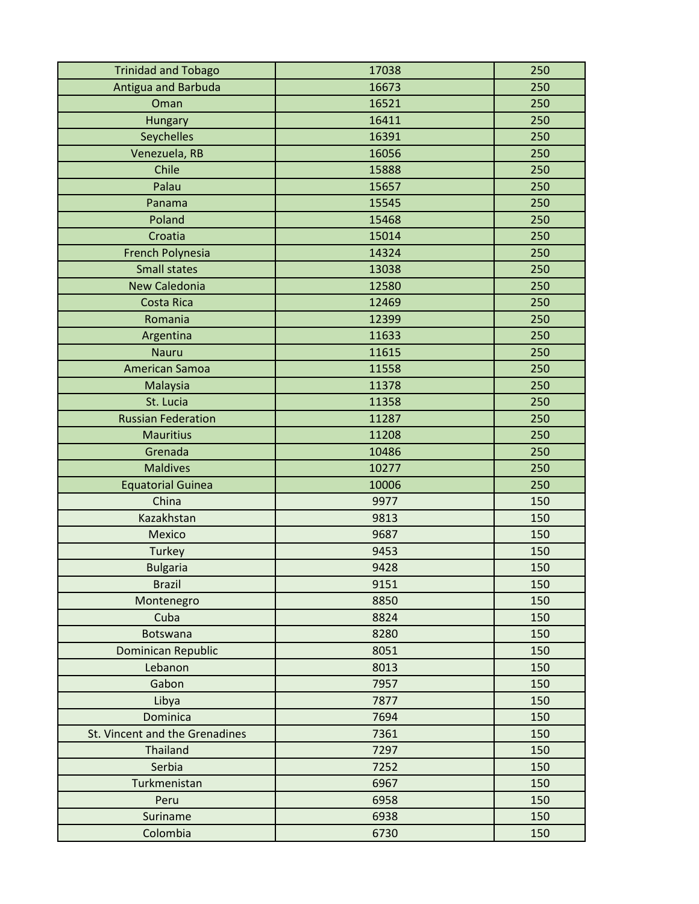| <b>Trinidad and Tobago</b>     | 17038 | 250 |
|--------------------------------|-------|-----|
| Antigua and Barbuda            | 16673 | 250 |
| Oman                           | 16521 | 250 |
| Hungary                        | 16411 | 250 |
| Seychelles                     | 16391 | 250 |
| Venezuela, RB                  | 16056 | 250 |
| Chile                          | 15888 | 250 |
| Palau                          | 15657 | 250 |
| Panama                         | 15545 | 250 |
| Poland                         | 15468 | 250 |
| Croatia                        | 15014 | 250 |
| French Polynesia               | 14324 | 250 |
| <b>Small states</b>            | 13038 | 250 |
| <b>New Caledonia</b>           | 12580 | 250 |
| <b>Costa Rica</b>              | 12469 | 250 |
| Romania                        | 12399 | 250 |
| Argentina                      | 11633 | 250 |
| <b>Nauru</b>                   | 11615 | 250 |
| <b>American Samoa</b>          | 11558 | 250 |
| Malaysia                       | 11378 | 250 |
| St. Lucia                      | 11358 | 250 |
| <b>Russian Federation</b>      | 11287 | 250 |
| <b>Mauritius</b>               | 11208 | 250 |
| Grenada                        | 10486 | 250 |
| <b>Maldives</b>                | 10277 | 250 |
| <b>Equatorial Guinea</b>       | 10006 | 250 |
| China                          | 9977  | 150 |
| Kazakhstan                     | 9813  | 150 |
| <b>Mexico</b>                  | 9687  | 150 |
| Turkey                         | 9453  | 150 |
| <b>Bulgaria</b>                | 9428  | 150 |
| <b>Brazil</b>                  | 9151  | 150 |
| Montenegro                     | 8850  | 150 |
| Cuba                           | 8824  | 150 |
| <b>Botswana</b>                | 8280  | 150 |
| <b>Dominican Republic</b>      | 8051  | 150 |
| Lebanon                        | 8013  | 150 |
| Gabon                          | 7957  | 150 |
| Libya                          | 7877  | 150 |
| Dominica                       | 7694  | 150 |
| St. Vincent and the Grenadines | 7361  | 150 |
| Thailand                       | 7297  | 150 |
| Serbia                         | 7252  | 150 |
| Turkmenistan                   | 6967  | 150 |
| Peru                           | 6958  | 150 |
| Suriname                       | 6938  | 150 |
| Colombia                       | 6730  | 150 |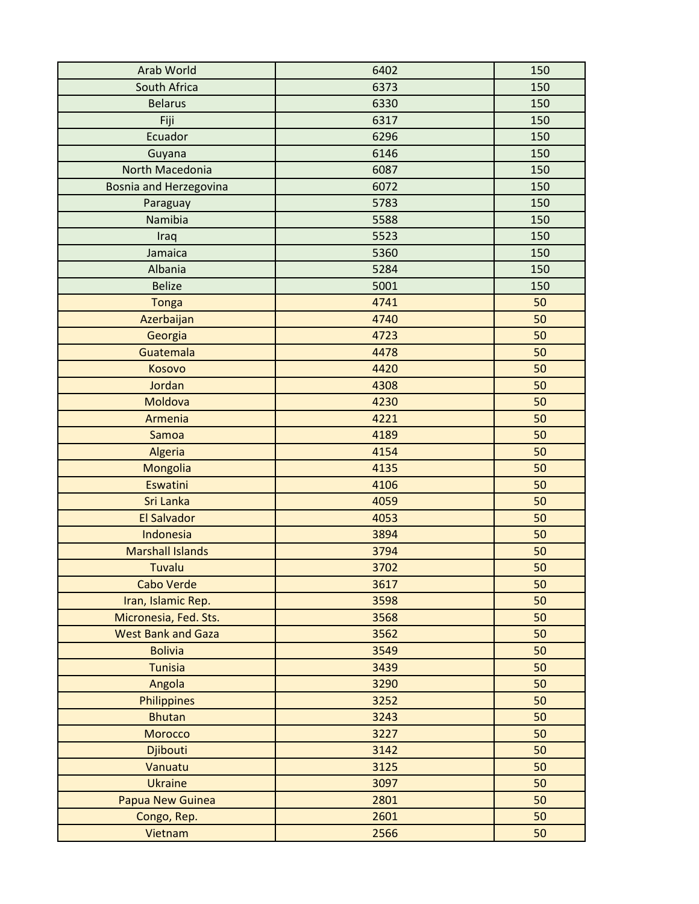| Arab World                    | 6402 | 150 |
|-------------------------------|------|-----|
| South Africa                  | 6373 | 150 |
| <b>Belarus</b>                | 6330 | 150 |
| Fiji                          | 6317 | 150 |
| Ecuador                       | 6296 | 150 |
| Guyana                        | 6146 | 150 |
| North Macedonia               | 6087 | 150 |
| <b>Bosnia and Herzegovina</b> | 6072 | 150 |
| Paraguay                      | 5783 | 150 |
| Namibia                       | 5588 | 150 |
| Iraq                          | 5523 | 150 |
| Jamaica                       | 5360 | 150 |
| Albania                       | 5284 | 150 |
| <b>Belize</b>                 | 5001 | 150 |
| <b>Tonga</b>                  | 4741 | 50  |
| Azerbaijan                    | 4740 | 50  |
| Georgia                       | 4723 | 50  |
| Guatemala                     | 4478 | 50  |
| Kosovo                        | 4420 | 50  |
| Jordan                        | 4308 | 50  |
| Moldova                       | 4230 | 50  |
| Armenia                       | 4221 | 50  |
| Samoa                         | 4189 | 50  |
| Algeria                       | 4154 | 50  |
| Mongolia                      | 4135 | 50  |
| Eswatini                      | 4106 | 50  |
| Sri Lanka                     | 4059 | 50  |
| <b>El Salvador</b>            | 4053 | 50  |
| Indonesia                     | 3894 | 50  |
| <b>Marshall Islands</b>       | 3794 | 50  |
| <b>Tuvalu</b>                 | 3702 | 50  |
| <b>Cabo Verde</b>             | 3617 | 50  |
| Iran, Islamic Rep.            | 3598 | 50  |
| Micronesia, Fed. Sts.         | 3568 | 50  |
| <b>West Bank and Gaza</b>     | 3562 | 50  |
| <b>Bolivia</b>                | 3549 | 50  |
| <b>Tunisia</b>                | 3439 | 50  |
| Angola                        | 3290 | 50  |
| <b>Philippines</b>            | 3252 | 50  |
| <b>Bhutan</b>                 | 3243 | 50  |
| Morocco                       | 3227 | 50  |
| Djibouti                      | 3142 | 50  |
| Vanuatu                       | 3125 | 50  |
| <b>Ukraine</b>                | 3097 | 50  |
| <b>Papua New Guinea</b>       | 2801 | 50  |
| Congo, Rep.                   | 2601 | 50  |
| Vietnam                       | 2566 | 50  |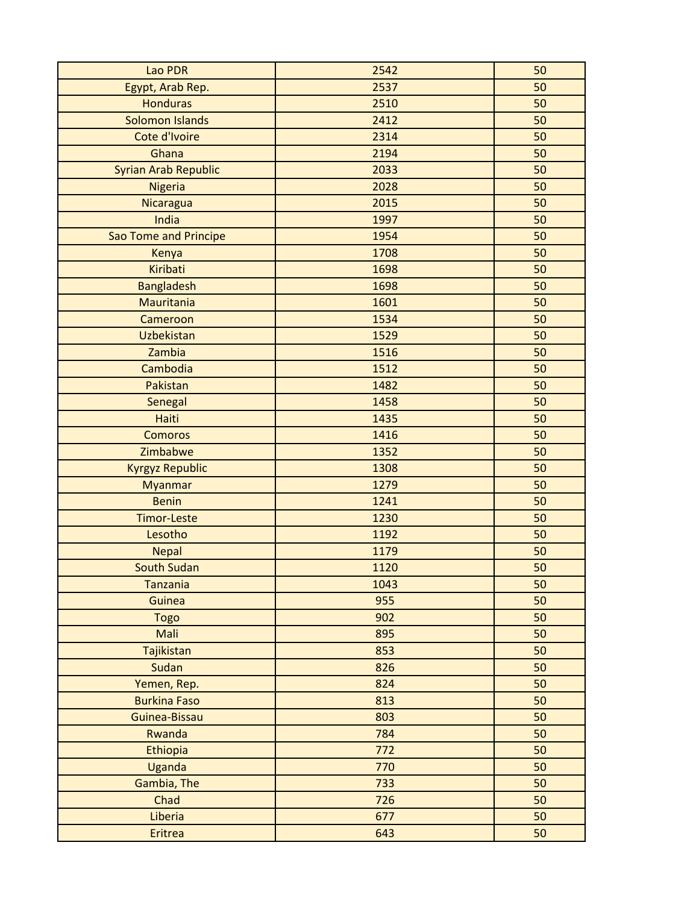| Lao PDR                     | 2542 | 50 |
|-----------------------------|------|----|
| Egypt, Arab Rep.            | 2537 | 50 |
| <b>Honduras</b>             | 2510 | 50 |
| Solomon Islands             | 2412 | 50 |
| Cote d'Ivoire               | 2314 | 50 |
| Ghana                       | 2194 | 50 |
| <b>Syrian Arab Republic</b> | 2033 | 50 |
| Nigeria                     | 2028 | 50 |
| Nicaragua                   | 2015 | 50 |
| India                       | 1997 | 50 |
| Sao Tome and Principe       | 1954 | 50 |
| Kenya                       | 1708 | 50 |
| Kiribati                    | 1698 | 50 |
| <b>Bangladesh</b>           | 1698 | 50 |
| <b>Mauritania</b>           | 1601 | 50 |
| Cameroon                    | 1534 | 50 |
| <b>Uzbekistan</b>           | 1529 | 50 |
| Zambia                      | 1516 | 50 |
| Cambodia                    | 1512 | 50 |
| Pakistan                    | 1482 | 50 |
| Senegal                     | 1458 | 50 |
| <b>Haiti</b>                | 1435 | 50 |
| <b>Comoros</b>              | 1416 | 50 |
| Zimbabwe                    | 1352 | 50 |
| <b>Kyrgyz Republic</b>      | 1308 | 50 |
| <b>Myanmar</b>              | 1279 | 50 |
| <b>Benin</b>                | 1241 | 50 |
| <b>Timor-Leste</b>          | 1230 | 50 |
| Lesotho                     | 1192 | 50 |
| <b>Nepal</b>                | 1179 | 50 |
| <b>South Sudan</b>          | 1120 | 50 |
| <b>Tanzania</b>             | 1043 | 50 |
| <b>Guinea</b>               | 955  | 50 |
| <b>Togo</b>                 | 902  | 50 |
| Mali                        | 895  | 50 |
| Tajikistan                  | 853  | 50 |
| Sudan                       | 826  | 50 |
| Yemen, Rep.                 | 824  | 50 |
| <b>Burkina Faso</b>         | 813  | 50 |
| Guinea-Bissau               | 803  | 50 |
| Rwanda                      | 784  | 50 |
| Ethiopia                    | 772  | 50 |
| Uganda                      | 770  | 50 |
| Gambia, The                 | 733  | 50 |
| Chad                        | 726  | 50 |
| Liberia                     | 677  | 50 |
| <b>Eritrea</b>              | 643  | 50 |